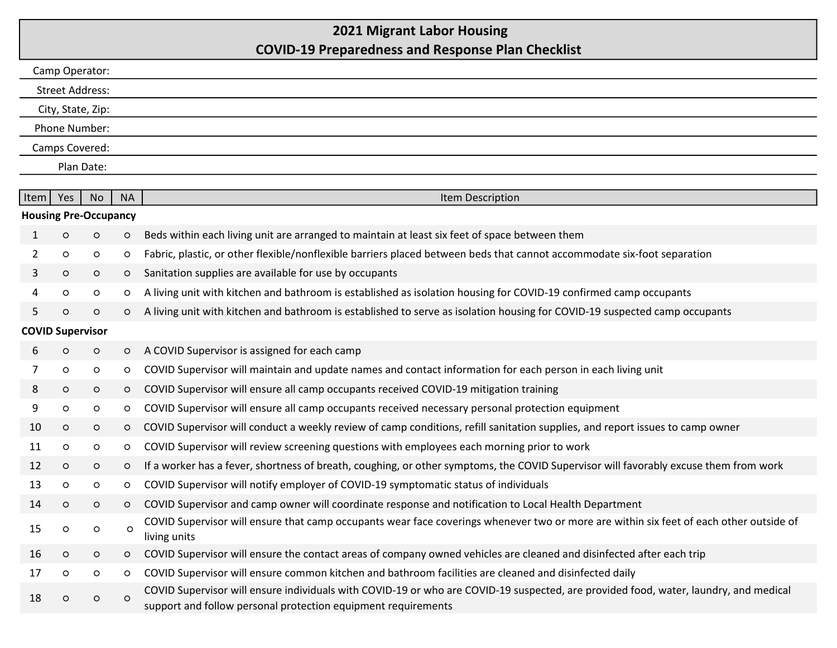## 2021 Migrant Labor Housing COVID-19 Preparedness and Response Plan Checklist

| Camp Operator:               |            |           |           |                                                                                                                                                                                                       |  |  |  |  |
|------------------------------|------------|-----------|-----------|-------------------------------------------------------------------------------------------------------------------------------------------------------------------------------------------------------|--|--|--|--|
| Street Address:              |            |           |           |                                                                                                                                                                                                       |  |  |  |  |
| City, State, Zip:            |            |           |           |                                                                                                                                                                                                       |  |  |  |  |
| Phone Number:                |            |           |           |                                                                                                                                                                                                       |  |  |  |  |
| Camps Covered:               |            |           |           |                                                                                                                                                                                                       |  |  |  |  |
|                              | Plan Date: |           |           |                                                                                                                                                                                                       |  |  |  |  |
|                              |            |           |           |                                                                                                                                                                                                       |  |  |  |  |
| Item                         | Yes        | <b>No</b> | <b>NA</b> | Item Description                                                                                                                                                                                      |  |  |  |  |
| <b>Housing Pre-Occupancy</b> |            |           |           |                                                                                                                                                                                                       |  |  |  |  |
| 1                            | $\circ$    | $\circ$   | $\circ$   | Beds within each living unit are arranged to maintain at least six feet of space between them                                                                                                         |  |  |  |  |
| 2                            | $\circ$    | $\circ$   | $\circ$   | Fabric, plastic, or other flexible/nonflexible barriers placed between beds that cannot accommodate six-foot separation                                                                               |  |  |  |  |
| 3                            | $\circ$    | $\circ$   | $\circ$   | Sanitation supplies are available for use by occupants                                                                                                                                                |  |  |  |  |
| 4                            | $\circ$    | $\circ$   | $\circ$   | A living unit with kitchen and bathroom is established as isolation housing for COVID-19 confirmed camp occupants                                                                                     |  |  |  |  |
| 5                            | $\circ$    | $\circ$   | $\circ$   | A living unit with kitchen and bathroom is established to serve as isolation housing for COVID-19 suspected camp occupants                                                                            |  |  |  |  |
| <b>COVID Supervisor</b>      |            |           |           |                                                                                                                                                                                                       |  |  |  |  |
| 6                            | $\circ$    | $\circ$   | $\circ$   | A COVID Supervisor is assigned for each camp                                                                                                                                                          |  |  |  |  |
| 7                            | $\circ$    | $\circ$   | $\circ$   | COVID Supervisor will maintain and update names and contact information for each person in each living unit                                                                                           |  |  |  |  |
| 8                            | $\circ$    | $\circ$   | $\circ$   | COVID Supervisor will ensure all camp occupants received COVID-19 mitigation training                                                                                                                 |  |  |  |  |
| 9                            | $\circ$    | $\circ$   | $\circ$   | COVID Supervisor will ensure all camp occupants received necessary personal protection equipment                                                                                                      |  |  |  |  |
| 10                           | $\circ$    | $\circ$   | $\circ$   | COVID Supervisor will conduct a weekly review of camp conditions, refill sanitation supplies, and report issues to camp owner                                                                         |  |  |  |  |
| 11                           | $\circ$    | $\circ$   | $\circ$   | COVID Supervisor will review screening questions with employees each morning prior to work                                                                                                            |  |  |  |  |
| 12                           | $\circ$    | $\circ$   | $\circ$   | If a worker has a fever, shortness of breath, coughing, or other symptoms, the COVID Supervisor will favorably excuse them from work                                                                  |  |  |  |  |
| 13                           | $\circ$    | $\circ$   | $\circ$   | COVID Supervisor will notify employer of COVID-19 symptomatic status of individuals                                                                                                                   |  |  |  |  |
| 14                           | $\circ$    | $\circ$   | $\circ$   | COVID Supervisor and camp owner will coordinate response and notification to Local Health Department                                                                                                  |  |  |  |  |
| 15                           | $\circ$    | $\circ$   | $\circ$   | COVID Supervisor will ensure that camp occupants wear face coverings whenever two or more are within six feet of each other outside of<br>living units                                                |  |  |  |  |
| 16                           | $\circ$    | $\circ$   | $\circ$   | COVID Supervisor will ensure the contact areas of company owned vehicles are cleaned and disinfected after each trip                                                                                  |  |  |  |  |
| 17                           | $\circ$    | $\circ$   | $\circ$   | COVID Supervisor will ensure common kitchen and bathroom facilities are cleaned and disinfected daily                                                                                                 |  |  |  |  |
| 18                           | $\circ$    | $\circ$   | $\circ$   | COVID Supervisor will ensure individuals with COVID-19 or who are COVID-19 suspected, are provided food, water, laundry, and medical<br>support and follow personal protection equipment requirements |  |  |  |  |